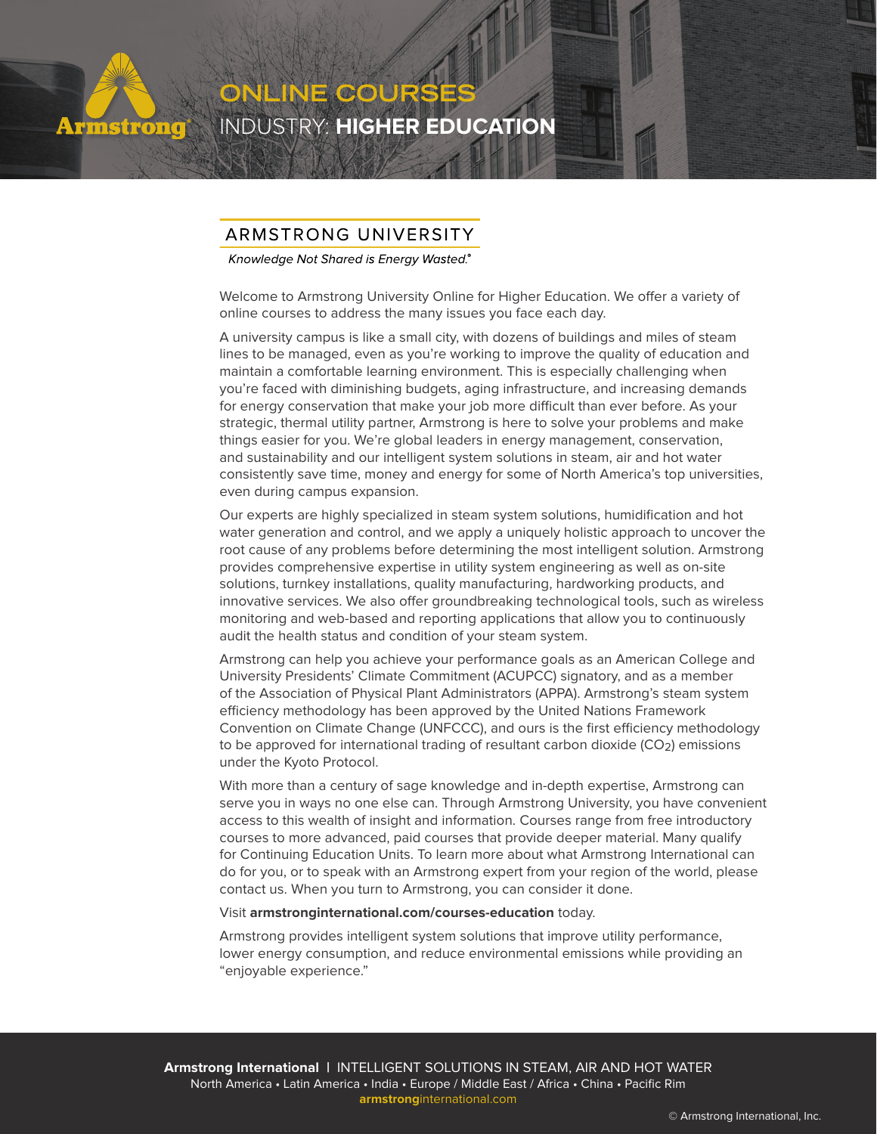

## ARMSTRONG UNIVERSITY

INDUSTRY: **HIGHER EDUCATION**

**ONLINE COURSES**

Knowledge Not Shared is Energy Wasted.®

Welcome to Armstrong University Online for Higher Education. We offer a variety of online courses to address the many issues you face each day.

A university campus is like a small city, with dozens of buildings and miles of steam lines to be managed, even as you're working to improve the quality of education and maintain a comfortable learning environment. This is especially challenging when you're faced with diminishing budgets, aging infrastructure, and increasing demands for energy conservation that make your job more difficult than ever before. As your strategic, thermal utility partner, Armstrong is here to solve your problems and make things easier for you. We're global leaders in energy management, conservation, and sustainability and our intelligent system solutions in steam, air and hot water consistently save time, money and energy for some of North America's top universities, even during campus expansion.

Our experts are highly specialized in steam system solutions, humidification and hot water generation and control, and we apply a uniquely holistic approach to uncover the root cause of any problems before determining the most intelligent solution. Armstrong provides comprehensive expertise in utility system engineering as well as on-site solutions, turnkey installations, quality manufacturing, hardworking products, and innovative services. We also offer groundbreaking technological tools, such as wireless monitoring and web-based and reporting applications that allow you to continuously audit the health status and condition of your steam system.

Armstrong can help you achieve your performance goals as an American College and University Presidents' Climate Commitment (ACUPCC) signatory, and as a member of the Association of Physical Plant Administrators (APPA). Armstrong's steam system efficiency methodology has been approved by the United Nations Framework Convention on Climate Change (UNFCCC), and ours is the first efficiency methodology to be approved for international trading of resultant carbon dioxide (CO<sub>2</sub>) emissions under the Kyoto Protocol.

With more than a century of sage knowledge and in-depth expertise, Armstrong can serve you in ways no one else can. Through Armstrong University, you have convenient access to this wealth of insight and information. Courses range from free introductory courses to more advanced, paid courses that provide deeper material. Many qualify for Continuing Education Units. To learn more about what Armstrong International can do for you, or to speak with an Armstrong expert from your region of the world, please contact us. When you turn to Armstrong, you can consider it done.

Visit **[armstronginternational.com/courses-education](http://www.armstronginternational.com/courses-education)** today.

Armstrong provides intelligent system solutions that improve utility performance, lower energy consumption, and reduce environmental emissions while providing an "enjoyable experience."

**Armstrong International |** INTELLIGENT SOLUTIONS IN STEAM, AIR AND HOT WATER North America • Latin America • India • Europe / Middle East / Africa • China • Pacific Rim **armstrong**[international.com](http://www.armstronginternational.com)